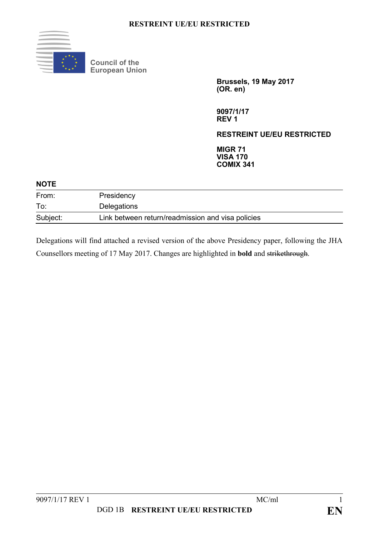

**Council of the European Union** 

> **Brussels, 19 May 2017 (OR. en)**

**9097/1/17 REV 1** 

**RESTREINT UE/EU RESTRICTED** 

**MIGR 71 VISA 170 COMIX 341** 

| <b>NOTE</b> |                                                   |  |
|-------------|---------------------------------------------------|--|
| From:       | Presidency                                        |  |
| To:         | Delegations                                       |  |
| Subject:    | Link between return/readmission and visa policies |  |

Delegations will find attached a revised version of the above Presidency paper, following the JHA Counsellors meeting of 17 May 2017. Changes are highlighted in **bold** and strikethrough.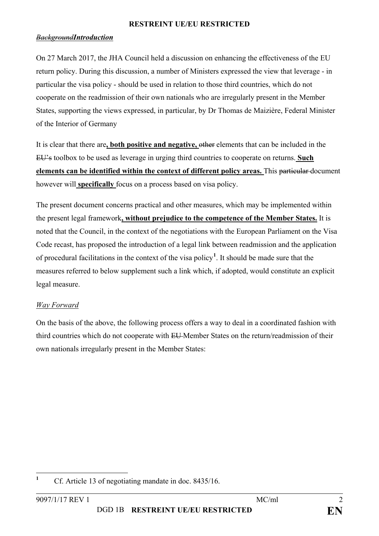#### *BackgroundIntroduction*

On 27 March 2017, the JHA Council held a discussion on enhancing the effectiveness of the EU return policy. During this discussion, a number of Ministers expressed the view that leverage - in particular the visa policy - should be used in relation to those third countries, which do not cooperate on the readmission of their own nationals who are irregularly present in the Member States, supporting the views expressed, in particular, by Dr Thomas de Maizière, Federal Minister of the Interior of Germany

It is clear that there are**, both positive and negative,** other elements that can be included in the EU's toolbox to be used as leverage in urging third countries to cooperate on returns. **Such elements can be identified within the context of different policy areas.** This particular document however will **specifically** focus on a process based on visa policy.

The present document concerns practical and other measures, which may be implemented within the present legal framework**, without prejudice to the competence of the Member States.** It is noted that the Council, in the context of the negotiations with the European Parliament on the Visa Code recast, has proposed the introduction of a legal link between readmission and the application of procedural facilitations in the context of the visa policy**<sup>1</sup>** . It should be made sure that the measures referred to below supplement such a link which, if adopted, would constitute an explicit legal measure.

## *Way Forward*

On the basis of the above, the following process offers a way to deal in a coordinated fashion with third countries which do not cooperate with EU-Member States on the return/readmission of their own nationals irregularly present in the Member States:

 **1** Cf. Article 13 of negotiating mandate in doc. 8435/16.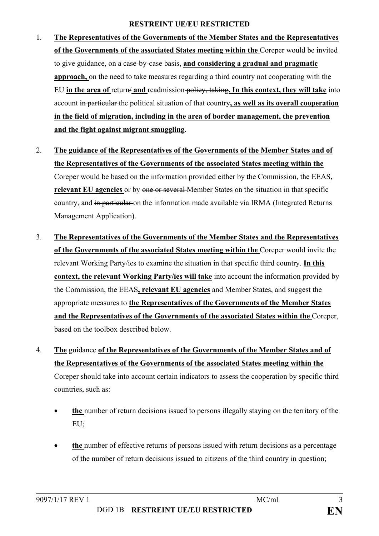- 1. **The Representatives of the Governments of the Member States and the Representatives of the Governments of the associated States meeting within the** Coreper would be invited to give guidance, on a case-by-case basis, **and considering a gradual and pragmatic approach,** on the need to take measures regarding a third country not cooperating with the EU **in the area of** return/ **and** readmission policy, taking**. In this context, they will take** into account in particular the political situation of that country**, as well as its overall cooperation in the field of migration, including in the area of border management, the prevention and the fight against migrant smuggling**.
- 2. **The guidance of the Representatives of the Governments of the Member States and of the Representatives of the Governments of the associated States meeting within the**  Coreper would be based on the information provided either by the Commission, the EEAS, **relevant EU agencies** or by one or several Member States on the situation in that specific country, and in particular on the information made available via IRMA (Integrated Returns Management Application).
- 3. **The Representatives of the Governments of the Member States and the Representatives of the Governments of the associated States meeting within the** Coreper would invite the relevant Working Party/ies to examine the situation in that specific third country. **In this context, the relevant Working Party/ies will take** into account the information provided by the Commission, the EEAS**, relevant EU agencies** and Member States, and suggest the appropriate measures to **the Representatives of the Governments of the Member States and the Representatives of the Governments of the associated States within the** Coreper, based on the toolbox described below.
- 4. **The** guidance **of the Representatives of the Governments of the Member States and of the Representatives of the Governments of the associated States meeting within the**  Coreper should take into account certain indicators to assess the cooperation by specific third countries, such as:
	- **the** number of return decisions issued to persons illegally staying on the territory of the EU;
	- **the** number of effective returns of persons issued with return decisions as a percentage of the number of return decisions issued to citizens of the third country in question;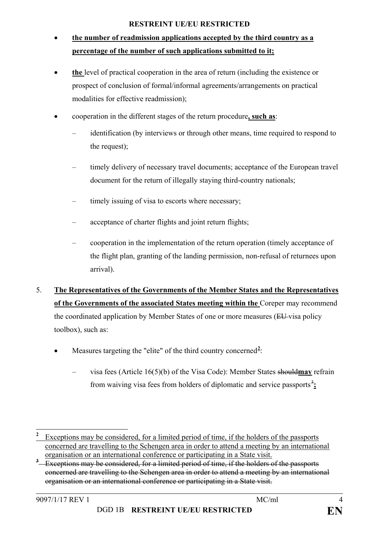# • **the number of readmission applications accepted by the third country as a percentage of the number of such applications submitted to it;**

- **the** level of practical cooperation in the area of return (including the existence or prospect of conclusion of formal/informal agreements/arrangements on practical modalities for effective readmission);
- cooperation in the different stages of the return procedure**, such as**:
	- identification (by interviews or through other means, time required to respond to the request);
	- timely delivery of necessary travel documents; acceptance of the European travel document for the return of illegally staying third-country nationals;
	- timely issuing of visa to escorts where necessary;
	- acceptance of charter flights and joint return flights;
	- cooperation in the implementation of the return operation (timely acceptance of the flight plan, granting of the landing permission, non-refusal of returnees upon arrival).
- 5. **The Representatives of the Governments of the Member States and the Representatives of the Governments of the associated States meeting within the** Coreper may recommend the coordinated application by Member States of one or more measures (EU-visa policy toolbox), such as:
	- Measures targeting the "elite" of the third country concerned<sup>2</sup>:
		- visa fees (Article 16(5)(b) of the Visa Code): Member States should**may** refrain from waiving visa fees from holders of diplomatic and service passports $\frac{3}{2}$

 $\overline{a}$ **2** Exceptions may be considered, for a limited period of time, if the holders of the passports concerned are travelling to the Schengen area in order to attend a meeting by an international organisation or an international conference or participating in a State visit.

<sup>&</sup>lt;sup>3</sup> Exceptions may be considered, for a limited period of time, if the holders of the passports concerned are travelling to the Schengen area in order to attend a meeting by an international organisation or an international conference or participating in a State visit.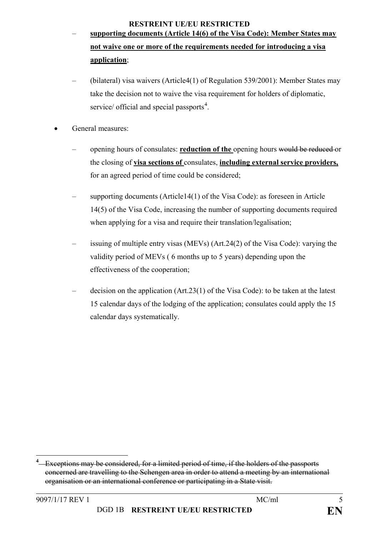- **supporting documents (Article 14(6) of the Visa Code): Member States may not waive one or more of the requirements needed for introducing a visa application**;
- (bilateral) visa waivers (Article4(1) of Regulation 539/2001): Member States may take the decision not to waive the visa requirement for holders of diplomatic, service/ official and special passports<sup>4</sup>.
- General measures:

 $\overline{a}$ 

- opening hours of consulates: **reduction of the** opening hours would be reduced or the closing of **visa sections of** consulates, **including external service providers,**  for an agreed period of time could be considered;
- supporting documents (Article14(1) of the Visa Code): as foreseen in Article 14(5) of the Visa Code, increasing the number of supporting documents required when applying for a visa and require their translation/legalisation;
- issuing of multiple entry visas (MEVs) (Art.24(2) of the Visa Code): varying the validity period of MEVs ( 6 months up to 5 years) depending upon the effectiveness of the cooperation;
- decision on the application (Art.23(1) of the Visa Code): to be taken at the latest 15 calendar days of the lodging of the application; consulates could apply the 15 calendar days systematically.

**<sup>4</sup>** Exceptions may be considered, for a limited period of time, if the holders of the passports concerned are travelling to the Schengen area in order to attend a meeting by an international organisation or an international conference or participating in a State visit.